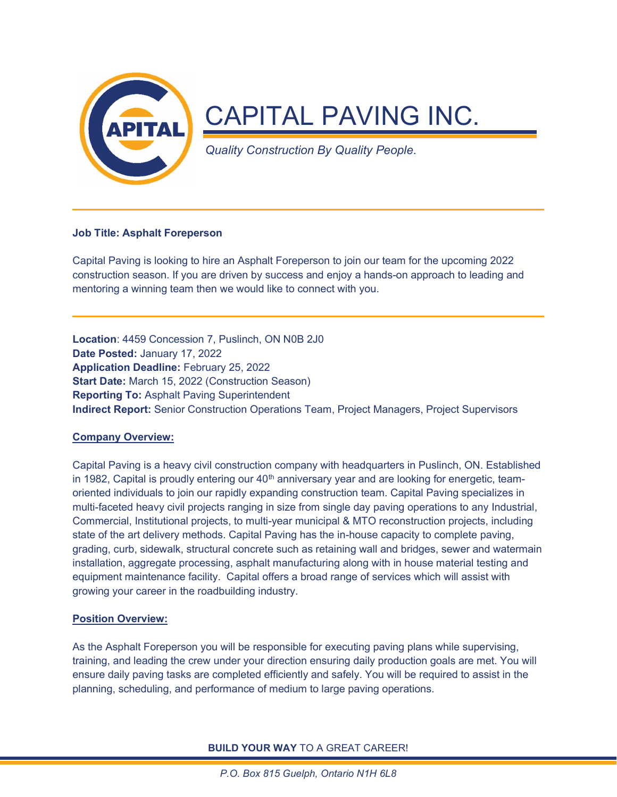

# Job Title: Asphalt Foreperson

Capital Paving is looking to hire an Asphalt Foreperson to join our team for the upcoming 2022 construction season. If you are driven by success and enjoy a hands-on approach to leading and mentoring a winning team then we would like to connect with you.

Location: 4459 Concession 7, Puslinch, ON N0B 2J0 Date Posted: January 17, 2022 Application Deadline: February 25, 2022 Start Date: March 15, 2022 (Construction Season) Reporting To: Asphalt Paving Superintendent Indirect Report: Senior Construction Operations Team, Project Managers, Project Supervisors

# Company Overview:

Capital Paving is a heavy civil construction company with headquarters in Puslinch, ON. Established in 1982, Capital is proudly entering our  $40<sup>th</sup>$  anniversary year and are looking for energetic, teamoriented individuals to join our rapidly expanding construction team. Capital Paving specializes in multi-faceted heavy civil projects ranging in size from single day paving operations to any Industrial, Commercial, Institutional projects, to multi-year municipal & MTO reconstruction projects, including state of the art delivery methods. Capital Paving has the in-house capacity to complete paving, grading, curb, sidewalk, structural concrete such as retaining wall and bridges, sewer and watermain installation, aggregate processing, asphalt manufacturing along with in house material testing and equipment maintenance facility. Capital offers a broad range of services which will assist with growing your career in the roadbuilding industry.

# Position Overview:

As the Asphalt Foreperson you will be responsible for executing paving plans while supervising, training, and leading the crew under your direction ensuring daily production goals are met. You will ensure daily paving tasks are completed efficiently and safely. You will be required to assist in the planning, scheduling, and performance of medium to large paving operations.

BUILD YOUR WAY TO A GREAT CAREER!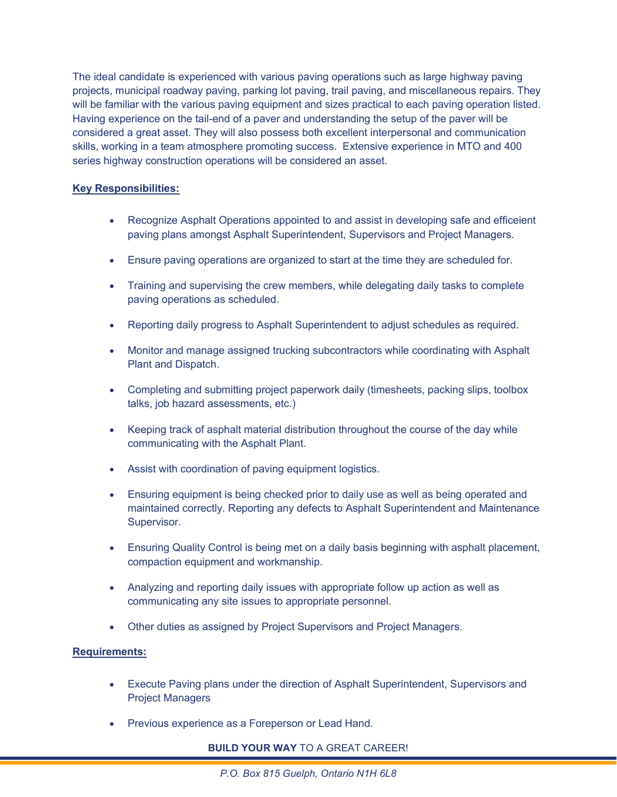The ideal candidate is experienced with various paving operations such as large highway paving projects, municipal roadway paving, parking lot paving, trail paving, and miscellaneous repairs. They will be familiar with the various paving equipment and sizes practical to each paving operation listed. Having experience on the tail-end of a paver and understanding the setup of the paver will be considered a great asset. They will also possess both excellent interpersonal and communication skills, working in a team atmosphere promoting success. Extensive experience in MTO and 400 series highway construction operations will be considered an asset.

# Key Responsibilities:

- Recognize Asphalt Operations appointed to and assist in developing safe and efficeient paving plans amongst Asphalt Superintendent, Supervisors and Project Managers.
- Ensure paving operations are organized to start at the time they are scheduled for.
- Training and supervising the crew members, while delegating daily tasks to complete paving operations as scheduled.
- Reporting daily progress to Asphalt Superintendent to adjust schedules as required.
- Monitor and manage assigned trucking subcontractors while coordinating with Asphalt Plant and Dispatch.
- Completing and submitting project paperwork daily (timesheets, packing slips, toolbox talks, job hazard assessments, etc.)
- Keeping track of asphalt material distribution throughout the course of the day while communicating with the Asphalt Plant.
- Assist with coordination of paving equipment logistics.
- Ensuring equipment is being checked prior to daily use as well as being operated and maintained correctly. Reporting any defects to Asphalt Superintendent and Maintenance Supervisor.
- Ensuring Quality Control is being met on a daily basis beginning with asphalt placement, compaction equipment and workmanship.
- Analyzing and reporting daily issues with appropriate follow up action as well as communicating any site issues to appropriate personnel.
- Other duties as assigned by Project Supervisors and Project Managers.

# Requirements:

- Execute Paving plans under the direction of Asphalt Superintendent, Supervisors and Project Managers
- Previous experience as a Foreperson or Lead Hand.

# BUILD YOUR WAY TO A GREAT CAREER!